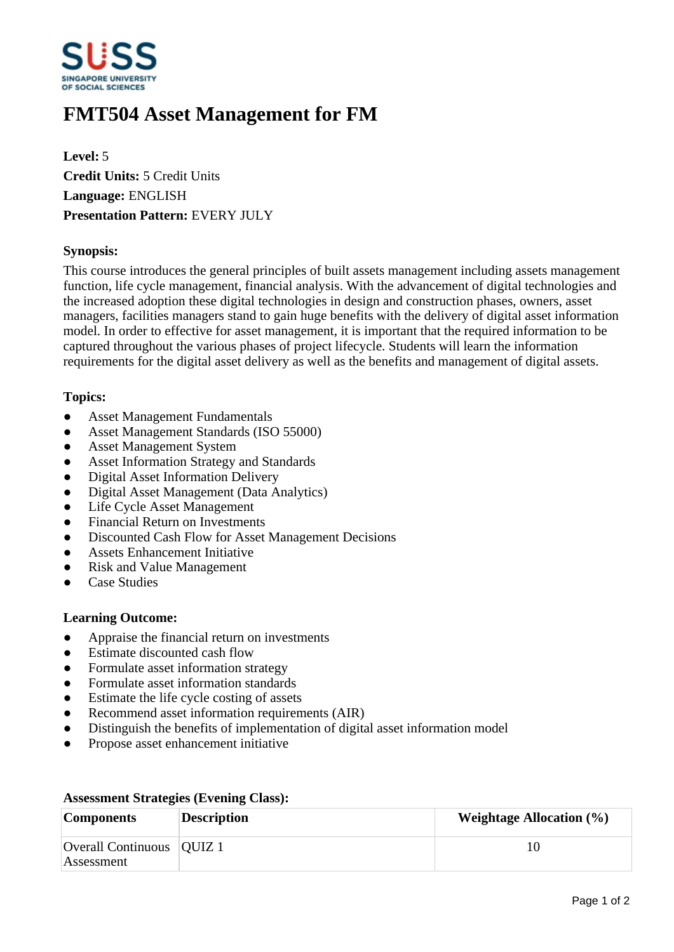

# **FMT504 Asset Management for FM**

**Level:** 5 **Credit Units:** 5 Credit Units **Language:** ENGLISH **Presentation Pattern:** EVERY JULY

## **Synopsis:**

This course introduces the general principles of built assets management including assets management function, life cycle management, financial analysis. With the advancement of digital technologies and the increased adoption these digital technologies in design and construction phases, owners, asset managers, facilities managers stand to gain huge benefits with the delivery of digital asset information model. In order to effective for asset management, it is important that the required information to be captured throughout the various phases of project lifecycle. Students will learn the information requirements for the digital asset delivery as well as the benefits and management of digital assets.

## **Topics:**

- Asset Management Fundamentals
- Asset Management Standards (ISO 55000)
- ƔAsset Management System
- Asset Information Strategy and Standards
- Digital Asset Information Delivery
- Digital Asset Management (Data Analytics)
- Life Cycle Asset Management
- ƔFinancial Return on Investments
- Discounted Cash Flow for Asset Management Decisions
- Assets Enhancement Initiative
- ƔRisk and Value Management
- ƔCase Studies

### **Learning Outcome:**

- Appraise the financial return on investments
- Estimate discounted cash flow
- Formulate asset information strategy
- Formulate asset information standards
- Estimate the life cycle costing of assets
- Recommend asset information requirements (AIR)
- Distinguish the benefits of implementation of digital asset information model
- Propose asset enhancement initiative

| <b>Components</b>                         | <b>Description</b> | <b>Weightage Allocation</b> $(\%)$ |
|-------------------------------------------|--------------------|------------------------------------|
| Overall Continuous   QUIZ 1<br>Assessment |                    |                                    |

### **Assessment Strategies (Evening Class):**